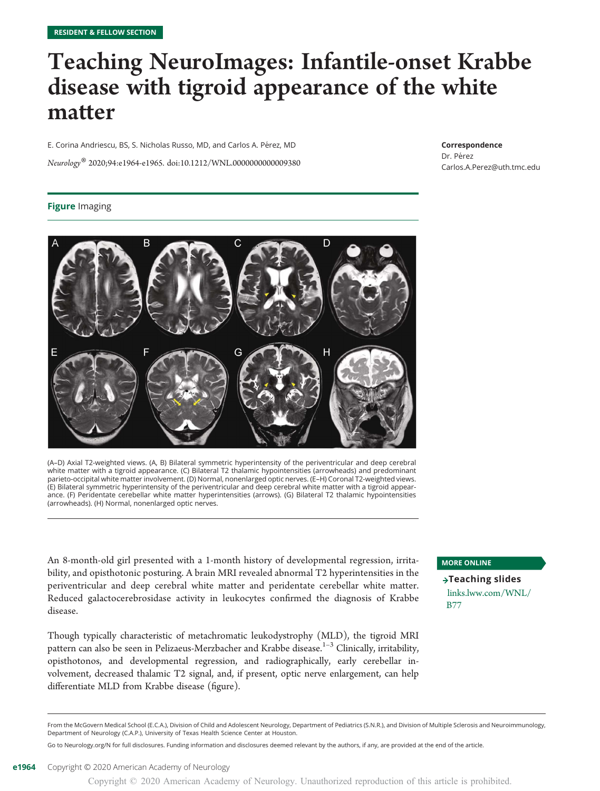## Teaching NeuroImages: Infantile-onset Krabbe disease with tigroid appearance of the white matter

E. Corina Andriescu, BS, S. Nicholas Russo, MD, and Carlos A. Pérez, MD Neurology® 2020;94:e1964-e1965. doi[:10.1212/WNL.0000000000009380](http://dx.doi.org/10.1212/WNL.0000000000009380)

#### Correspondence

Dr. Pérez [Carlos.A.Perez@uth.tmc.edu](mailto:Carlos.A.Perez@uth.tmc.edu)

#### **Figure Imaging**



(A–D) Axial T2-weighted views. (A, B) Bilateral symmetric hyperintensity of the periventricular and deep cerebral white matter with a tigroid appearance. (C) Bilateral T2 thalamic hypointensities (arrowheads) and predominant parieto-occipital white matter involvement. (D) Normal, nonenlarged optic nerves. (E–H) Coronal T2-weighted views. (E) Bilateral symmetric hyperintensity of the periventricular and deep cerebral white matter with a tigroid appearance. (F) Peridentate cerebellar white matter hyperintensities (arrows). (G) Bilateral T2 thalamic hypointensities (arrowheads). (H) Normal, nonenlarged optic nerves.

An 8-month-old girl presented with a 1-month history of developmental regression, irritability, and opisthotonic posturing. A brain MRI revealed abnormal T2 hyperintensities in the periventricular and deep cerebral white matter and peridentate cerebellar white matter. Reduced galactocerebrosidase activity in leukocytes confirmed the diagnosis of Krabbe disease.

Though typically characteristic of metachromatic leukodystrophy (MLD), the tigroid MRI pattern can also be seen in Pelizaeus-Merzbacher and Krabbe disease.<sup>1-3</sup> Clinically, irritability, opisthotonos, and developmental regression, and radiographically, early cerebellar involvement, decreased thalamic T2 signal, and, if present, optic nerve enlargement, can help differentiate MLD from Krabbe disease (figure).

#### MORE ONLINE

 $\rightarrow$ Teaching slides [links.lww.com/WNL/](https://links.lww.com/WNL/B77) [B77](https://links.lww.com/WNL/B77)

From the McGovern Medical School (E.C.A.), Division of Child and Adolescent Neurology, Department of Pediatrics (S.N.R.), and Division of Multiple Sclerosis and Neuroimmunology, Department of Neurology (C.A.P.), University of Texas Health Science Center at Houston.

Go to [Neurology.org/N](https://n.neurology.org/lookup/doi/10.1212/WNL.0000000000009380) for full disclosures. Funding information and disclosures deemed relevant by the authors, if any, are provided at the end of the article.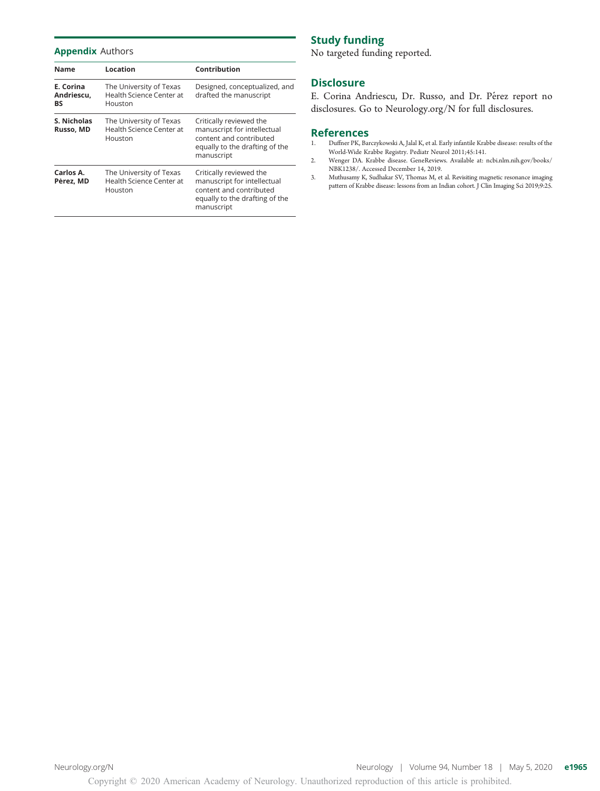#### Appendix Authors

| Name                          | Location                                                       | Contribution                                                                                                                      |
|-------------------------------|----------------------------------------------------------------|-----------------------------------------------------------------------------------------------------------------------------------|
| E. Corina<br>Andriescu,<br>BS | The University of Texas<br>Health Science Center at<br>Houston | Designed, conceptualized, and<br>drafted the manuscript                                                                           |
| S. Nicholas<br>Russo, MD      | The University of Texas<br>Health Science Center at<br>Houston | Critically reviewed the<br>manuscript for intellectual<br>content and contributed<br>equally to the drafting of the<br>manuscript |
| Carlos A.<br>Pérez, MD        | The University of Texas<br>Health Science Center at<br>Houston | Critically reviewed the<br>manuscript for intellectual<br>content and contributed<br>equally to the drafting of the<br>manuscript |

#### Study funding

No targeted funding reported.

#### **Disclosure**

E. Corina Andriescu, Dr. Russo, and Dr. Pérez report no disclosures. Go to [Neurology.org/N](https://n.neurology.org/lookup/doi/10.1212/WNL.0000000000009380) for full disclosures.

### **References**<br>1. Duffner PK. Bar

- $\mathop{\hbox{\rm Duffner\,PK, Barczykowski\,A, Jalal\,K, et al. Early infantile Krabbe disease: results of the}$ World-Wide Krabbe Registry. Pediatr Neurol 2011;45:141.
- 2. Wenger DA. Krabbe disease. GeneReviews. Available at: [ncbi.nlm.nih.gov/books/](http://www.ncbi.nlm.nih.gov/books/NBK1238/) [NBK1238/](http://www.ncbi.nlm.nih.gov/books/NBK1238/). Accessed December 14, 2019.
- 3. Muthusamy K, Sudhakar SV, Thomas M, et al. Revisiting magnetic resonance imaging pattern of Krabbe disease: lessons from an Indian cohort. J Clin Imaging Sci 2019;9:25.